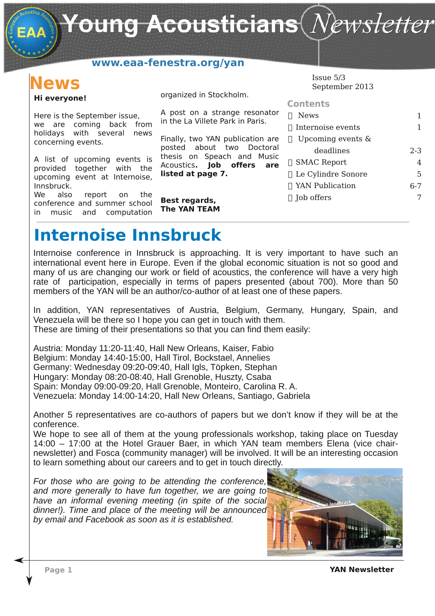Young Acousticians $(\mathit{Newsletter})$ 

## **www.eaa-fenestra.org/yan**

# **News**

### **Hi everyone!**

Here is the September issue, we are coming back from holidays with several news concerning events.

A list of upcoming events is provided together with the upcoming event at Internoise, Innsbruck.

We also report on the conference and summer school in music and computation

organized in Stockholm.

A post on a strange resonator in the La Villete Park in Paris.

Finally, two YAN publication are posted about two Doctoral thesis on Speach and Music Acoustics**. Job offers are listed at page 7.**

**Best regards, The YAN TEAM** Issue 5/3 September 2013

| <b>Contents</b>      |         |
|----------------------|---------|
| <b>News</b>          |         |
| Internoise events    | 1       |
| Upcoming events $\&$ |         |
| deadlines            | $2 - 3$ |
| <b>SMAC Report</b>   | 4       |
| Le Cylindre Sonore   | 5       |
| YAN Publication      | հ-7     |
| Job offers           |         |
|                      |         |

## **Internoise Innsbruck**

Internoise conference in Innsbruck is approaching. It is very important to have such an international event here in Europe. Even if the global economic situation is not so good and many of us are changing our work or field of acoustics, the conference will have a very high rate of participation, especially in terms of papers presented (about 700). More than 50 members of the YAN will be an author/co-author of at least one of these papers.

In addition, YAN representatives of Austria, Belgium, Germany, Hungary, Spain, and Venezuela will be there so I hope you can get in touch with them. These are timing of their presentations so that you can find them easily:

Austria: Monday 11:20-11:40, Hall New Orleans, Kaiser, Fabio Belgium: Monday 14:40-15:00, Hall Tirol, Bockstael, Annelies Germany: Wednesday 09:20-09:40, Hall Igls, Töpken, Stephan Hungary: Monday 08:20-08:40, Hall Grenoble, Huszty, Csaba Spain: Monday 09:00-09:20, Hall Grenoble, Monteiro, Carolina R. A. Venezuela: Monday 14:00-14:20, Hall New Orleans, Santiago, Gabriela

Another 5 representatives are co-authors of papers but we don't know if they will be at the conference.

We hope to see all of them at the young professionals workshop, taking place on Tuesday 14:00 – 17:00 at the Hotel Grauer Baer, in which YAN team members Elena (vice chairnewsletter) and Fosca (community manager) will be involved. It will be an interesting occasion to learn something about our careers and to get in touch directly.

*For those who are going to be attending the conference, and more generally to have fun together, we are going to have an informal evening meeting (in spite of the social dinner!). Time and place of the meeting will be announced by email and Facebook as soon as it is established.*



**Page 1 YAN Newsletter**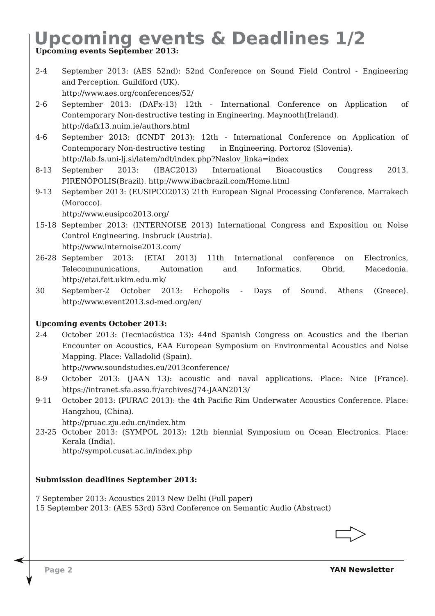# **Upcoming events & Deadlines 1/2**

**Upcoming events September 2013:**

- 2-4 September 2013: (AES 52nd): 52nd Conference on Sound Field Control Engineering and Perception. Guildford (UK). http://www.aes.org/conferences/52/
- 2-6 September 2013: (DAFx-13) 12th International Conference on Application of Contemporary Non-destructive testing in Engineering. Maynooth(Ireland). http://dafx13.nuim.ie/authors.html
- 4-6 September 2013: (ICNDT 2013): 12th International Conference on Application of Contemporary Non-destructive testing in Engineering. Portoroz (Slovenia). http://lab.fs.uni-lj.si/latem/ndt/index.php?Naslov\_linka=index
- 8-13 September 2013: (IBAC2013) International Bioacoustics Congress 2013. PIRENÓPOLIS(Brazil). http://www.ibacbrazil.com/Home.html
- 9-13 September 2013: (EUSIPCO2013) 21th European Signal Processing Conference. Marrakech (Morocco).

http://www.eusipco2013.org/

- 15-18 September 2013: (INTERNOISE 2013) International Congress and Exposition on Noise Control Engineering. Insbruck (Austria). http://www.internoise2013.com/
- 26-28 September 2013: (ETAI 2013) 11th International conference on Electronics, Telecommunications, Automation and Informatics. Ohrid, Macedonia. http://etai.feit.ukim.edu.mk/
- 30 September-2 October 2013: Echopolis Days of Sound. Athens (Greece). http://www.event2013.sd-med.org/en/

**Upcoming events October 2013:**

2-4 October 2013: (Tecniacústica 13): 44nd Spanish Congress on Acoustics and the Iberian Encounter on Acoustics, EAA European Symposium on Environmental Acoustics and Noise Mapping. Place: Valladolid (Spain).

http://www.soundstudies.eu/2013conference/

- 8-9 October 2013: (JAAN 13): acoustic and naval applications. Place: Nice (France). https://intranet.sfa.asso.fr/archives/J74-JAAN2013/
- 9-11 October 2013: (PURAC 2013): the 4th Pacific Rim Underwater Acoustics Conference. Place: Hangzhou, (China).

http://pruac.zju.edu.cn/index.htm

23-25 October 2013: (SYMPOL 2013): 12th biennial Symposium on Ocean Electronics. Place: Kerala (India). http://sympol.cusat.ac.in/index.php

**Submission deadlines September 2013:**

7 September 2013: Acoustics 2013 New Delhi (Full paper) 15 September 2013: (AES 53rd) 53rd Conference on Semantic Audio (Abstract)

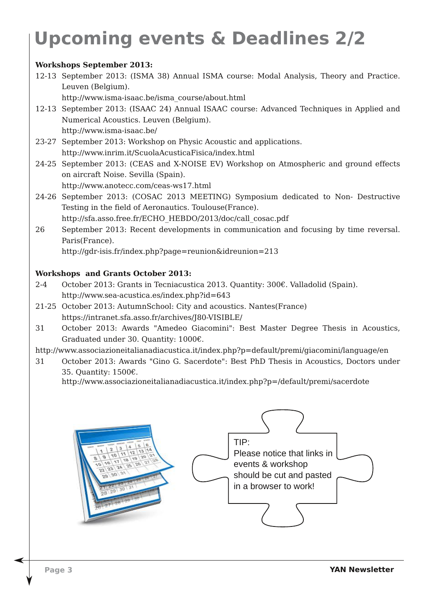# **Upcoming events & Deadlines 2/2**

### **Workshops September 2013:**

12-13 September 2013: (ISMA 38) Annual ISMA course: Modal Analysis, Theory and Practice. Leuven (Belgium).

http://www.isma-isaac.be/isma\_course/about.html

- 12-13 September 2013: (ISAAC 24) Annual ISAAC course: Advanced Techniques in Applied and Numerical Acoustics. Leuven (Belgium). http://www.isma-isaac.be/
- 23-27 September 2013: Workshop on Physic Acoustic and applications. http://www.inrim.it/ScuolaAcusticaFisica/index.html
- 24-25 September 2013: (CEAS and X-NOISE EV) Workshop on Atmospheric and ground effects on aircraft Noise. Sevilla (Spain). http://www.anotecc.com/ceas-ws17.html
- 24-26 September 2013: (COSAC 2013 MEETING) Symposium dedicated to Non- Destructive Testing in the field of Aeronautics. Toulouse(France).

http://sfa.asso.free.fr/ECHO\_HEBDO/2013/doc/call\_cosac.pdf

26 September 2013: Recent developments in communication and focusing by time reversal. Paris(France).

http://gdr-isis.fr/index.php?page=reunion&idreunion=213

#### **Workshops and Grants October 2013:**

- 2-4 October 2013: Grants in Tecniacustica 2013. Quantity: 300€. Valladolid (Spain). http://www.sea-acustica.es/index.php?id=643
- 21-25 October 2013: AutumnSchool: City and acoustics. Nantes(France) https://intranet.sfa.asso.fr/archives/J80-VISIBLE/
- 31 October 2013: Awards "Amedeo Giacomini": Best Master Degree Thesis in Acoustics, Graduated under 30. Quantity: 1000€.
- http://www.associazioneitalianadiacustica.it/index.php?p=default/premi/giacomini/language/en
- 31 October 2013: Awards "Gino G. Sacerdote": Best PhD Thesis in Acoustics, Doctors under 35. Quantity: 1500€.

http://www.associazioneitalianadiacustica.it/index.php?p=/default/premi/sacerdote

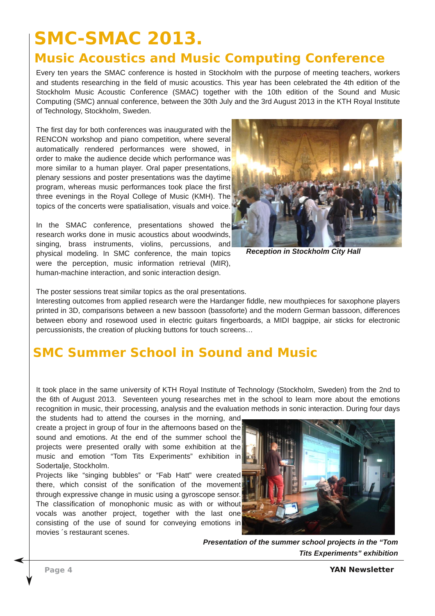## **SMC-SMAC 2013. Music Acoustics and Music Computing Conference**

Every ten years the SMAC conference is hosted in Stockholm with the purpose of meeting teachers, workers and students researching in the field of music acoustics. This year has been celebrated the 4th edition of the Stockholm Music Acoustic Conference (SMAC) together with the 10th edition of the Sound and Music Computing (SMC) annual conference, between the 30th July and the 3rd August 2013 in the KTH Royal Institute of Technology, Stockholm, Sweden.

The first day for both conferences was inaugurated with the RENCON workshop and piano competition, where several automatically rendered performances were showed, in order to make the audience decide which performance was more similar to a human player. Oral paper presentations, plenary sessions and poster presentations was the daytime program, whereas music performances took place the first three evenings in the Royal College of Music (KMH). The topics of the concerts were spatialisation, visuals and voice.

In the SMAC conference, presentations showed the research works done in music acoustics about woodwinds, singing, brass instruments, violins, percussions, and physical modeling. In SMC conference, the main topics were the perception, music information retrieval (MIR), human-machine interaction, and sonic interaction design.



*Reception in Stockholm City Hall*

The poster sessions treat similar topics as the oral presentations.

Interesting outcomes from applied research were the Hardanger fiddle, new mouthpieces for saxophone players printed in 3D, comparisons between a new bassoon (bassoforte) and the modern German bassoon, differences between ebony and rosewood used in electric guitars fingerboards, a MIDI bagpipe, air sticks for electronic percussionists, the creation of plucking buttons for touch screens…

## **SMC Summer School in Sound and Music**

It took place in the same university of KTH Royal Institute of Technology (Stockholm, Sweden) from the 2nd to the 6th of August 2013. Seventeen young researches met in the school to learn more about the emotions recognition in music, their processing, analysis and the evaluation methods in sonic interaction. During four days

the students had to attend the courses in the morning, and create a project in group of four in the afternoons based on the sound and emotions. At the end of the summer school the projects were presented orally with some exhibition at the music and emotion "Tom Tits Experiments" exhibition in Sodertalje, Stockholm.

Projects like "singing bubbles" or "Fab Hatt" were created there, which consist of the sonification of the movement through expressive change in music using a gyroscope sensor. The classification of monophonic music as with or without vocals was another project, together with the last one consisting of the use of sound for conveying emotions in movies ´s restaurant scenes.



*Presentation of the summer school projects in the "Tom Tits Experiments" exhibition*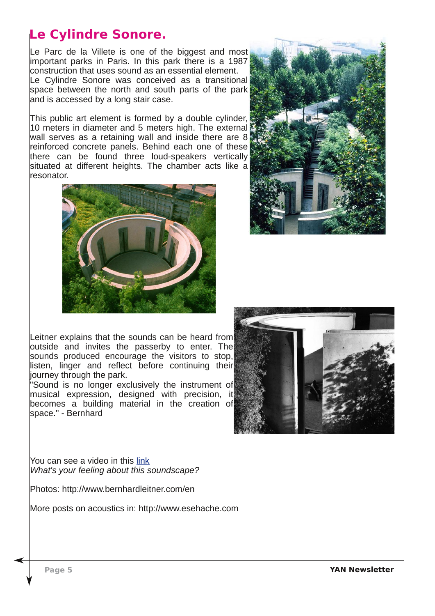## **Le Cylindre Sonore.**

Le Parc de la Villete is one of the biggest and most important parks in Paris. In this park there is a 1987 construction that uses sound as an essential element. Le Cylindre Sonore was conceived as a transitional space between the north and south parts of the park and is accessed by a long stair case.

This public art element is formed by a double cylinder, 10 meters in diameter and 5 meters high. The external wall serves as a retaining wall and inside there are 8 reinforced concrete panels. Behind each one of these there can be found three loud-speakers vertically situated at different heights. The chamber acts like a resonator.





Leitner explains that the sounds can be heard from outside and invites the passerby to enter. The sounds produced encourage the visitors to stop, listen, linger and reflect before continuing their journey through the park.

"Sound is no longer exclusively the instrument of musical expression, designed with precision, it becomes a building material in the creation of space." - Bernhard



You can see a video in this [link](http://www.youtube.com/watch?v=5fxn5ZUxzh8) *What's your feeling about this soundscape?*

Photos: <http://www.bernhardleitner.com/en>

More posts on acoustics in: [http://www.esehache.com]( http://www.esehache.com)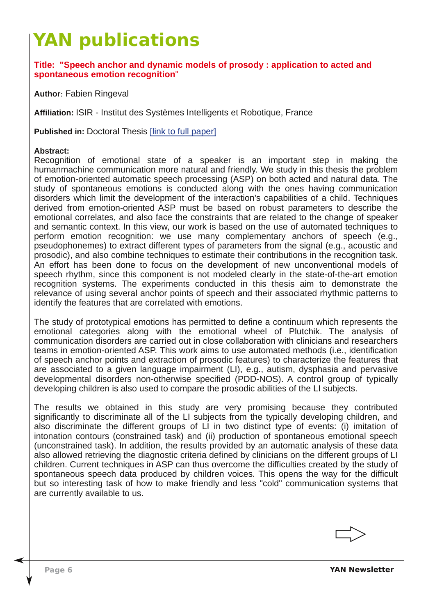# **YAN publications**

**Title: "Speech anchor and dynamic models of prosody : application to acted and spontaneous emotion recognition**"

**Author**: Fabien Ringeval

Affiliation: ISIR - Institut des Systèmes Intelligents et Robotique, France

**Published in:** Doctoral Thesis [link to full [paper\]](http://tel.archives-ouvertes.fr/docs/00/82/53/12/PDF/ThA_se.pdf)

### **Abstract:**

Recognition of emotional state of a speaker is an important step in making the humanmachine communication more natural and friendly. We study in this thesis the problem of emotion-oriented automatic speech processing (ASP) on both acted and natural data. The study of spontaneous emotions is conducted along with the ones having communication disorders which limit the development of the interaction's capabilities of a child. Techniques derived from emotion-oriented ASP must be based on robust parameters to describe the emotional correlates, and also face the constraints that are related to the change of speaker and semantic context. In this view, our work is based on the use of automated techniques to perform emotion recognition: we use many complementary anchors of speech (e.g., pseudophonemes) to extract different types of parameters from the signal (e.g., acoustic and prosodic), and also combine techniques to estimate their contributions in the recognition task. An effort has been done to focus on the development of new unconventional models of speech rhythm, since this component is not modeled clearly in the state-of-the-art emotion recognition systems. The experiments conducted in this thesis aim to demonstrate the relevance of using several anchor points of speech and their associated rhythmic patterns to identify the features that are correlated with emotions.

The study of prototypical emotions has permitted to define a continuum which represents the emotional categories along with the emotional wheel of Plutchik. The analysis of communication disorders are carried out in close collaboration with clinicians and researchers teams in emotion-oriented ASP. This work aims to use automated methods (i.e., identification of speech anchor points and extraction of prosodic features) to characterize the features that are associated to a given language impairment (LI), e.g., autism, dysphasia and pervasive developmental disorders non-otherwise specified (PDD-NOS). A control group of typically developing children is also used to compare the prosodic abilities of the LI subjects.

The results we obtained in this study are very promising because they contributed significantly to discriminate all of the LI subjects from the typically developing children, and also discriminate the different groups of LI in two distinct type of events: (i) imitation of intonation contours (constrained task) and (ii) production of spontaneous emotional speech (unconstrained task). In addition, the results provided by an automatic analysis of these data also allowed retrieving the diagnostic criteria defined by clinicians on the different groups of LI children. Current techniques in ASP can thus overcome the difficulties created by the study of spontaneous speech data produced by children voices. This opens the way for the difficult but so interesting task of how to make friendly and less "cold" communication systems that are currently available to us.